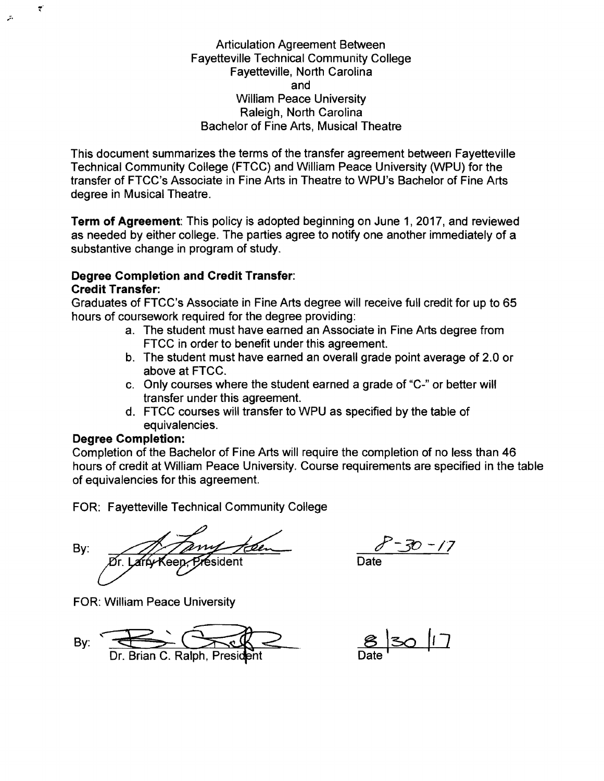Articulation Agreement Between Fayetteville Technical Community College Fayetteville, North Carolina and William Peace University Raleigh, North Carolina Bachelor of Fine Arts, Musical Theatre

This document summarizes the terms of the transfer agreement between Fayetteville Technical Community College (FTCC) and William Peace University (WPU) for the transfer of FTCC's Associate in Fine Arts in Theatre to WPU's Bachelor of Fine Arts degree in Musical Theatre.

**Term of Agreement:** This policy is adopted beginning on June 1, 2017, and reviewed as needed by either college. The parties agree to notify one another immediately of a substantive change in program of study.

## **Degree Completion and Credit Transfer: Credit Transfer:**

Graduates of FTCC's Associate in Fine Arts degree will receive full credit for up to 65 hours of coursework required for the degree providing:

- a. The student must have earned an Associate in Fine Arts degree from FTCC in order to benefit under this agreement.
- b. The student must have earned an overall grade point average of 2.0 or above at FTCC.
- c. Only courses where the student earned a grade of "C-" or better will transfer under this agreement.
- d. FTCC courses will transfer to WPU as specified by the table of equivalencies.

## **Degree Completion:**

w ,

."

Completion of the Bachelor of Fine Arts will require the completion of no less than 46 hours of credit at William Peace University. Course requirements are specified in the table of equivalencies for this agreement.

FOR: Fayetteville Technical Community College

By: A Tany teen 8-30-17

FOR: William Peace University

By:  $\frac{1}{Dr} \cdot \frac{1}{Dr}$  Brian C. Ralph, President Date

Date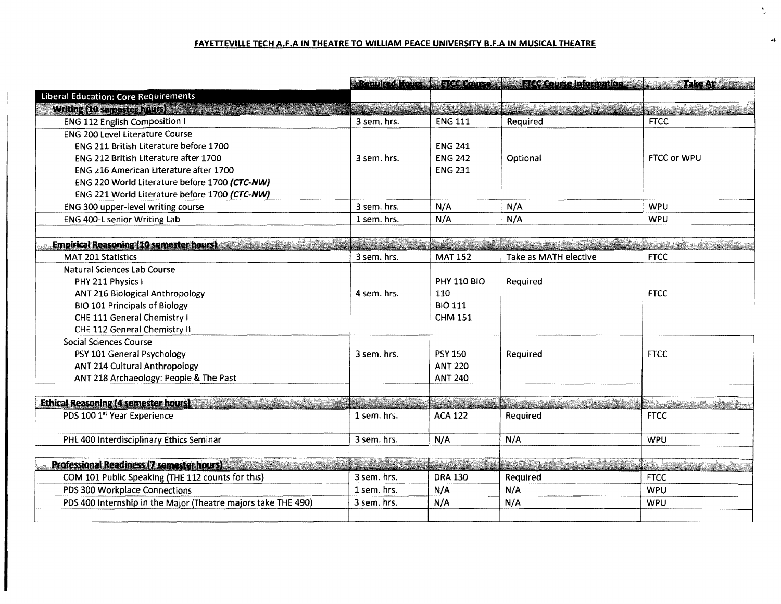## FAYETTEVILLE TECH A.F.A IN THEATRE TO WILLIAM PEACE UNIVERSITY B.F.A IN MUSICAL THEATRE

|                                                               |                               |                          | Required Hours & FTCC Course 25 FTCC Course Information Make and Cake At                 |                               |
|---------------------------------------------------------------|-------------------------------|--------------------------|------------------------------------------------------------------------------------------|-------------------------------|
| <b>Liberal Education: Core Requirements</b>                   |                               |                          |                                                                                          |                               |
| Writing (10 semester hours)                                   |                               |                          | <u> 1999 - Johann Barbara, martin ang kabupatèn Bandaran Indonesia.  Pada salah sahi</u> |                               |
| <b>ENG 112 English Composition I</b>                          | 3 sem. hrs.                   | <b>ENG 111</b>           | Required                                                                                 | <b>FTCC</b>                   |
| <b>ENG 200 Level Literature Course</b>                        |                               |                          |                                                                                          |                               |
| ENG 211 British Literature before 1700                        |                               | <b>ENG 241</b>           |                                                                                          |                               |
| ENG 212 British Literature after 1700                         | 3 sem. hrs.                   | <b>ENG 242</b>           | Optional                                                                                 | <b>FTCC or WPU</b>            |
| ENG 216 American Literature after 1700                        |                               | <b>ENG 231</b>           |                                                                                          |                               |
| ENG 220 World Literature before 1700 (CTC-NW)                 |                               |                          |                                                                                          |                               |
| ENG 221 World Literature before 1700 (CTC-NW)                 |                               |                          |                                                                                          |                               |
| ENG 300 upper-level writing course                            | 3 sem. hrs.                   | N/A                      | N/A                                                                                      | <b>WPU</b>                    |
| ENG 400-L senior Writing Lab                                  | 1 sem. hrs.                   | N/A                      | N/A                                                                                      | <b>WPU</b>                    |
| <b>Empirical Reasoning (10 semester hours)</b>                | an Marian                     | <u> Liberalis (n. 18</u> |                                                                                          | an an an Dùbhla               |
| <b>MAT 201 Statistics</b>                                     | 3 sem. hrs.                   | <b>MAT 152</b>           | Take as MATH elective                                                                    | <b>FTCC</b>                   |
| Natural Sciences Lab Course                                   |                               |                          |                                                                                          |                               |
| PHY 211 Physics I                                             |                               | <b>PHY 110 BIO</b>       | Required                                                                                 |                               |
| ANT 216 Biological Anthropology                               | 4 sem. hrs.                   | 110                      |                                                                                          | <b>FTCC</b>                   |
| <b>BIO 101 Principals of Biology</b>                          |                               | <b>BIO 111</b>           |                                                                                          |                               |
| CHE 111 General Chemistry I                                   |                               | <b>CHM 151</b>           |                                                                                          |                               |
| CHE 112 General Chemistry II                                  |                               |                          |                                                                                          |                               |
| <b>Social Sciences Course</b>                                 |                               |                          |                                                                                          |                               |
| PSY 101 General Psychology                                    | 3 sem. hrs.                   | <b>PSY 150</b>           | Required                                                                                 | <b>FTCC</b>                   |
| ANT 214 Cultural Anthropology                                 |                               | <b>ANT 220</b>           |                                                                                          |                               |
| ANT 218 Archaeology: People & The Past                        |                               | <b>ANT 240</b>           |                                                                                          |                               |
|                                                               |                               |                          |                                                                                          |                               |
| <b>Ethical Reasoning (4 semester hours)</b>                   | <b>Albanistic Albanistics</b> | bara ka                  | <u> Kabupatén Indonesia In</u>                                                           | <u> Kidulang kabupatèn Ka</u> |
| PDS 100 1st Year Experience                                   | 1 sem. hrs.                   | <b>ACA 122</b>           | Required                                                                                 | <b>FTCC</b>                   |
| PHL 400 Interdisciplinary Ethics Seminar                      | 3 sem. hrs.                   | N/A                      | N/A                                                                                      | <b>WPU</b>                    |
|                                                               |                               |                          |                                                                                          |                               |
| <b>Professional Readiness (7 semester hours)</b>              | <b>Reader</b>                 |                          |                                                                                          |                               |
| COM 101 Public Speaking (THE 112 counts for this)             | 3 sem. hrs.                   | <b>DRA 130</b>           | Required                                                                                 | <b>FTCC</b>                   |
| PDS 300 Workplace Connections                                 | 1 sem. hrs.                   | N/A                      | N/A                                                                                      | <b>WPU</b>                    |
| PDS 400 Internship in the Major (Theatre majors take THE 490) | 3 sem. hrs.                   | N/A                      | N/A                                                                                      | WPU                           |
|                                                               |                               |                          |                                                                                          |                               |

 $\mathcal{A}$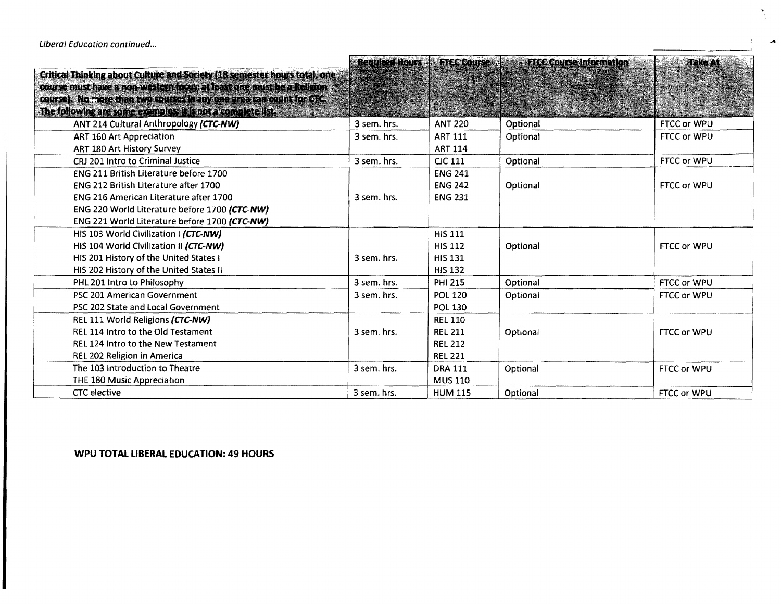|                                                                           |             |                | Required Hours   FTCC Course   a FTCC Course Information | <b>Take At:</b>    |
|---------------------------------------------------------------------------|-------------|----------------|----------------------------------------------------------|--------------------|
| Critical Thinking about Culture and Society (18 semester hours total, one |             |                |                                                          |                    |
| course must have a non-western focus; at least one must be a Religion     |             |                |                                                          |                    |
| course). No more than two courses in any one area can count for CTC.      |             |                |                                                          |                    |
| The following are some examples; it is not a complete list.               |             |                |                                                          |                    |
| ANT 214 Cultural Anthropology (CTC-NW)                                    | 3 sem. hrs. | <b>ANT 220</b> | Optional                                                 | FTCC or WPU        |
| ART 160 Art Appreciation                                                  | 3 sem. hrs. | <b>ART 111</b> | Optional                                                 | FTCC or WPU        |
| ART 180 Art History Survey                                                |             | <b>ART 114</b> |                                                          |                    |
| CRJ 201 Intro to Criminal Justice                                         | 3 sem. hrs. | <b>CJC 111</b> | Optional                                                 | FTCC or WPU        |
| ENG 211 British Literature before 1700                                    |             | <b>ENG 241</b> |                                                          |                    |
| ENG 212 British Literature after 1700                                     |             | <b>ENG 242</b> | Optional                                                 | FTCC or WPU        |
| ENG 216 American Literature after 1700                                    | 3 sem. hrs. | <b>ENG 231</b> |                                                          |                    |
| ENG 220 World Literature before 1700 (CTC-NW)                             |             |                |                                                          |                    |
| ENG 221 World Literature before 1700 (CTC-NW)                             |             |                |                                                          |                    |
| HIS 103 World Civilization I (CTC-NW)                                     |             | <b>HIS 111</b> |                                                          |                    |
| HIS 104 World Civilization II (CTC-NW)                                    |             | <b>HIS 112</b> | Optional                                                 | <b>FTCC or WPU</b> |
| HIS 201 History of the United States I                                    | 3 sem. hrs. | <b>HIS 131</b> |                                                          |                    |
| HIS 202 History of the United States II                                   |             | <b>HIS 132</b> |                                                          |                    |
| PHL 201 Intro to Philosophy                                               | 3 sem. hrs. | <b>PHI 215</b> | Optional                                                 | FTCC or WPU        |
| PSC 201 American Government                                               | 3 sem. hrs. | <b>POL 120</b> | Optional                                                 | FTCC or WPU        |
| PSC 202 State and Local Government                                        |             | <b>POL 130</b> |                                                          |                    |
| REL 111 World Religions (CTC-NW)                                          |             | <b>REL 110</b> |                                                          |                    |
| REL 114 Intro to the Old Testament                                        | 3 sem. hrs. | <b>REL 211</b> | Optional                                                 | FTCC or WPU        |
| REL 124 Intro to the New Testament                                        |             | <b>REL 212</b> |                                                          |                    |
| REL 202 Religion in America                                               |             | <b>REL 221</b> |                                                          |                    |
| The 103 Introduction to Theatre                                           | 3 sem. hrs. | <b>DRA 111</b> | Optional                                                 | FTCC or WPU        |
| THE 180 Music Appreciation                                                |             | <b>MUS 110</b> |                                                          |                    |
| <b>CTC</b> elective                                                       | 3 sem. hrs. | <b>HUM 115</b> | Optional                                                 | FTCC or WPU        |

## **WPU TOTAL LIBERAL EDUCATION: 49 HOURS**

 $\overline{\phantom{a}}$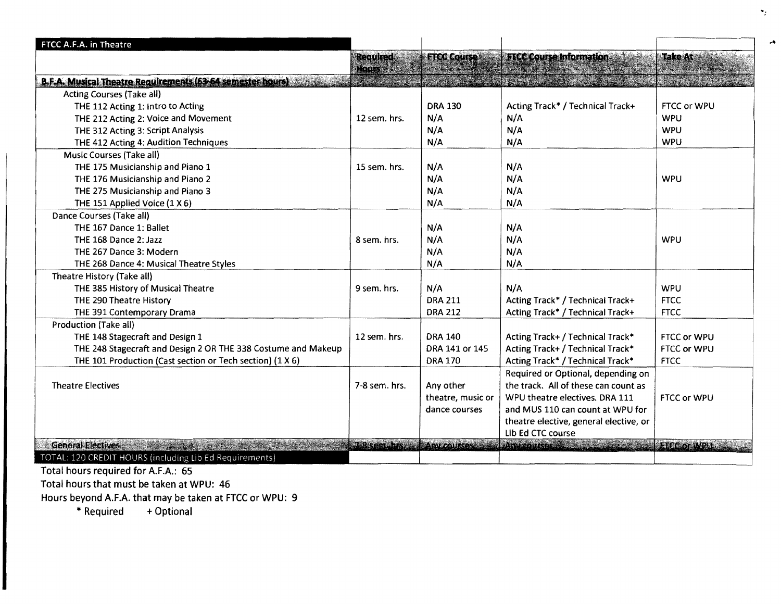| FTCC A.F.A. in Theatre                                        |                  |                    |                                                                           |                |
|---------------------------------------------------------------|------------------|--------------------|---------------------------------------------------------------------------|----------------|
|                                                               | <b>Required:</b> | <b>FTCC Course</b> | <b>FTCC Course Information</b>                                            | <b>Take At</b> |
|                                                               | Hours            |                    |                                                                           |                |
| B.F.A. Musical Theatre Requirements (63-64 semester hours)    |                  |                    |                                                                           |                |
| Acting Courses (Take all)                                     |                  |                    |                                                                           |                |
| THE 112 Acting 1: Intro to Acting                             |                  | <b>DRA 130</b>     | Acting Track* / Technical Track+                                          | FTCC or WPU    |
| THE 212 Acting 2: Voice and Movement                          | 12 sem. hrs.     | N/A                | N/A                                                                       | <b>WPU</b>     |
| THE 312 Acting 3: Script Analysis                             |                  | N/A                | N/A                                                                       | <b>WPU</b>     |
| THE 412 Acting 4: Audition Techniques                         |                  | N/A                | N/A                                                                       | <b>WPU</b>     |
| <b>Music Courses (Take all)</b>                               |                  |                    |                                                                           |                |
| THE 175 Musicianship and Piano 1                              | 15 sem. hrs.     | N/A                | N/A                                                                       |                |
| THE 176 Musicianship and Piano 2                              |                  | N/A                | N/A                                                                       | <b>WPU</b>     |
| THE 275 Musicianship and Piano 3                              |                  | N/A                | N/A                                                                       |                |
| THE 151 Applied Voice (1 X 6)                                 |                  | N/A                | N/A                                                                       |                |
| Dance Courses (Take all)                                      |                  |                    |                                                                           |                |
| THE 167 Dance 1: Ballet                                       |                  | N/A                | N/A                                                                       |                |
| THE 168 Dance 2: Jazz                                         | 8 sem. hrs.      | N/A                | N/A                                                                       | WPU            |
| THE 267 Dance 3: Modern                                       |                  | N/A                | N/A                                                                       |                |
| THE 268 Dance 4: Musical Theatre Styles                       |                  | N/A                | N/A                                                                       |                |
| Theatre History (Take all)                                    |                  |                    |                                                                           |                |
| THE 385 History of Musical Theatre                            | 9 sem. hrs.      | N/A                | N/A                                                                       | WPU            |
| THE 290 Theatre History                                       |                  | <b>DRA 211</b>     | Acting Track* / Technical Track+                                          | <b>FTCC</b>    |
| THE 391 Contemporary Drama                                    |                  | <b>DRA 212</b>     | Acting Track* / Technical Track+                                          | <b>FTCC</b>    |
| Production (Take all)                                         |                  |                    |                                                                           |                |
| THE 148 Stagecraft and Design 1                               | 12 sem. hrs.     | <b>DRA 140</b>     | Acting Track+ / Technical Track*                                          | FTCC or WPU    |
| THE 248 Stagecraft and Design 2 OR THE 338 Costume and Makeup |                  | DRA 141 or 145     | Acting Track+ / Technical Track*                                          | FTCC or WPU    |
| THE 101 Production (Cast section or Tech section) (1 X 6)     |                  | <b>DRA 170</b>     | Acting Track* / Technical Track*                                          | <b>FTCC</b>    |
|                                                               |                  |                    | Required or Optional, depending on                                        |                |
| <b>Theatre Electives</b>                                      | $7-8$ sem. hrs.  | Any other          | the track. All of these can count as                                      |                |
|                                                               |                  | theatre, music or  | WPU theatre electives. DRA 111                                            | FTCC or WPU    |
|                                                               |                  |                    |                                                                           |                |
|                                                               |                  | dance courses      | and MUS 110 can count at WPU for                                          |                |
|                                                               |                  |                    | theatre elective, general elective, or                                    |                |
|                                                               |                  |                    | Lib Ed CTC course                                                         |                |
| <b>General Electives</b>                                      |                  |                    | A-Bisemahrs of Any courses and Any courses and A-best for the FCC or WRU. |                |
| TOTAL: 120 CREDIT HOURS (including Lib Ed Requirements)       |                  |                    |                                                                           |                |

 $\bullet_j$  .

....

Total hours required for A.F.A.: 65

Total hours that must be taken at WPU: 46

Hours beyond A.F.A. that may be taken at FTCC or WPU: 9

+ Optional